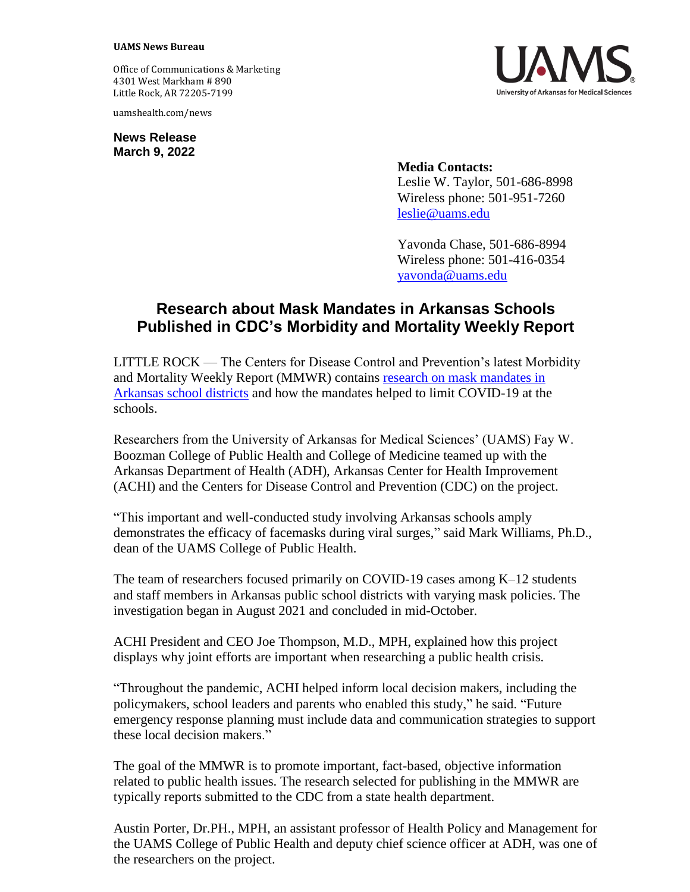## **UAMS News Bureau**

Office of Communications & Marketing 4301 West Markham # 890 Little Rock, AR 72205-7199

uamshealth.com/news

**News Release March 9, 2022**

> **Media Contacts:** Leslie W. Taylor, 501-686-8998 Wireless phone: 501-951-7260 [leslie@uams.edu](mailto:leslie@uams.edu)

Yavonda Chase, 501-686-8994 Wireless phone: 501-416-0354 [yavonda@uams.edu](mailto:yavonda@uams.edu)

## **Research about Mask Mandates in Arkansas Schools Published in CDC's Morbidity and Mortality Weekly Report**

LITTLE ROCK — The Centers for Disease Control and Prevention's latest Morbidity and Mortality Weekly Report (MMWR) contains [research on mask mandates in](https://www.cdc.gov/mmwr/volumes/71/wr/mm7110e1.htm?s_cid=mm7110e1_w)  [Arkansas school districts](https://www.cdc.gov/mmwr/volumes/71/wr/mm7110e1.htm?s_cid=mm7110e1_w) and how the mandates helped to limit COVID-19 at the schools.

Researchers from the University of Arkansas for Medical Sciences' (UAMS) Fay W. Boozman College of Public Health and College of Medicine teamed up with the Arkansas Department of Health (ADH), Arkansas Center for Health Improvement (ACHI) and the Centers for Disease Control and Prevention (CDC) on the project.

"This important and well-conducted study involving Arkansas schools amply demonstrates the efficacy of facemasks during viral surges," said Mark Williams, Ph.D., dean of the UAMS College of Public Health.

The team of researchers focused primarily on COVID-19 cases among K–12 students and staff members in Arkansas public school districts with varying mask policies. The investigation began in August 2021 and concluded in mid-October.

ACHI President and CEO Joe Thompson, M.D., MPH, explained how this project displays why joint efforts are important when researching a public health crisis.

"Throughout the pandemic, ACHI helped inform local decision makers, including the policymakers, school leaders and parents who enabled this study," he said. "Future emergency response planning must include data and communication strategies to support these local decision makers."

The goal of the MMWR is to promote important, fact-based, objective information related to public health issues. The research selected for publishing in the MMWR are typically reports submitted to the CDC from a state health department.

Austin Porter, Dr.PH., MPH, an assistant professor of Health Policy and Management for the UAMS College of Public Health and deputy chief science officer at ADH, was one of the researchers on the project.